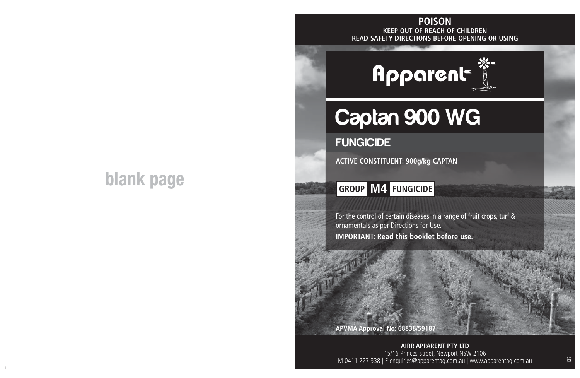## **blank page**

#### **KEEP OUT OF REACH OF CHILDREN READ SAFETY DIRECTIONS BEFORE OPENING OR USING POISON**



# Captan 900 WG

### **FUNGICIDE**

**ACTIVE CONSTITUENT: 900g/kg CAPTAN**

## **GROUP M4 FUNGICIDE**

For the control of certain diseases in a range of fruit crops, turf & ornamentals as per Directions for Use. **IMPORTANT: Read this booklet before use.**

**APVMA Approval No: 68838/59187**

ii aastad ka ka maanaan ka maanaan ka maanaan ka maanaan ka maanaan ka maanaan ka maanaan maanaan ka maanaan k<br>Ii **AIRR APPARENT PTY LTD** 15/16 Princes Street, Newport NSW 2106 M 0411 227 338 | E enquiries@apparentag.com.au | www.apparentag.com.au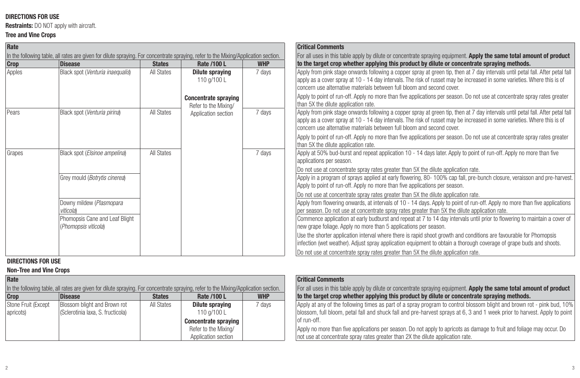#### **DIRECTIONS FOR USE**

**Restraints:** DO NOT apply with aircraft.

#### **Tree and Vine Crops**

| Rate                                                                                                                                |                                                        |               |                                                     |                                                                                                                      | <b>Critical Comments</b>                                                                                                                                                                                                                                                                                                              |  |
|-------------------------------------------------------------------------------------------------------------------------------------|--------------------------------------------------------|---------------|-----------------------------------------------------|----------------------------------------------------------------------------------------------------------------------|---------------------------------------------------------------------------------------------------------------------------------------------------------------------------------------------------------------------------------------------------------------------------------------------------------------------------------------|--|
| In the following table, all rates are given for dilute spraying. For concentrate spraying, refer to the Mixing/Application section. |                                                        |               |                                                     | For all uses in this table apply by dilute or concentrate spraying equipment. Apply the same total amount of product |                                                                                                                                                                                                                                                                                                                                       |  |
| Crop                                                                                                                                | <b>Disease</b>                                         | <b>States</b> | Rate /100 L                                         | <b>WHP</b>                                                                                                           | to the target crop whether applying this product by dilute or concentrate spraying methods.                                                                                                                                                                                                                                           |  |
| Apples                                                                                                                              | Black spot (Venturia inaequalis)                       | All States    | Dilute spraying<br>110 g/100 L                      | 7 days                                                                                                               | Apply from pink stage onwards following a copper spray at green tip, then at 7 day intervals until petal fall. After petal fall<br>apply as a cover spray at 10 - 14 day intervals. The risk of russet may be increased in some varieties. Where this is of<br>concern use alternative materials between full bloom and second cover. |  |
|                                                                                                                                     |                                                        |               | <b>Concentrate spraying</b><br>Refer to the Mixing/ |                                                                                                                      | Apply to point of run-off. Apply no more than five applications per season. Do not use at concentrate spray rates greater<br>than 5X the dilute application rate.                                                                                                                                                                     |  |
| Pears                                                                                                                               | Black spot (Venturia pirina)                           | All States    | Application section                                 | 7 days                                                                                                               | Apply from pink stage onwards following a copper spray at green tip, then at 7 day intervals until petal fall. After petal fall<br>apply as a cover spray at 10 - 14 day intervals. The risk of russet may be increased in some varieties. Where this is of<br>concern use alternative materials between full bloom and second cover. |  |
|                                                                                                                                     |                                                        |               |                                                     |                                                                                                                      | Apply to point of run-off. Apply no more than five applications per season. Do not use at concentrate spray rates greater<br>than 5X the dilute application rate.                                                                                                                                                                     |  |
| Grapes                                                                                                                              | Black spot (Elsinoe ampelina)                          | All States    |                                                     | 7 days                                                                                                               | Apply at 50% bud-burst and repeat application 10 - 14 days later. Apply to point of run-off. Apply no more than five<br>applications per season.                                                                                                                                                                                      |  |
|                                                                                                                                     |                                                        |               |                                                     |                                                                                                                      | Do not use at concentrate spray rates greater than 5X the dilute application rate.                                                                                                                                                                                                                                                    |  |
|                                                                                                                                     | Grey mould (Botrytis cinerea)                          |               |                                                     |                                                                                                                      | Apply in a program of sprays applied at early flowering, 80-100% cap fall, pre-bunch closure, veraisson and pre-harvest.<br>Apply to point of run-off. Apply no more than five applications per season.                                                                                                                               |  |
|                                                                                                                                     |                                                        |               |                                                     |                                                                                                                      | Do not use at concentrate spray rates greater than 5X the dilute application rate.                                                                                                                                                                                                                                                    |  |
|                                                                                                                                     | Downy mildew (Plasmopara<br>viticola)                  |               |                                                     |                                                                                                                      | Apply from flowering onwards, at intervals of 10 - 14 days. Apply to point of run-off. Apply no more than five applications<br>per season. Do not use at concentrate spray rates greater than 5X the dilute application rate.                                                                                                         |  |
|                                                                                                                                     | Phomopsis Cane and Leaf Blight<br>(Phomopsis viticola) |               |                                                     |                                                                                                                      | Commence application at early budburst and repeat at 7 to 14 day intervals until prior to flowering to maintain a cover of<br>new grape foliage. Apply no more than 5 applications per season.                                                                                                                                        |  |
|                                                                                                                                     |                                                        |               |                                                     |                                                                                                                      | Use the shorter application interval where there is rapid shoot growth and conditions are favourable for Phomopsis<br>infection (wet weather). Adjust spray application equipment to obtain a thorough coverage of grape buds and shoots.                                                                                             |  |
|                                                                                                                                     |                                                        |               |                                                     |                                                                                                                      | Do not use at concentrate spray rates greater than 5X the dilute application rate.                                                                                                                                                                                                                                                    |  |

#### **DIRECTIONS FOR USE**

#### **Non-Tree and Vine Crops**

| Rate                |                                                                                                                                     |               |                             |            | <b>Critical Comments</b>                                                                                 |
|---------------------|-------------------------------------------------------------------------------------------------------------------------------------|---------------|-----------------------------|------------|----------------------------------------------------------------------------------------------------------|
|                     | In the following table, all rates are given for dilute spraying. For concentrate spraying, refer to the Mixing/Application section. |               |                             |            | For all uses in this table apply by dilute or concentrate spraying equipment. Apply the same total am    |
| Crop                | <b>Disease</b>                                                                                                                      | <b>States</b> | Rate /100 L                 | <b>WHP</b> | to the target crop whether applying this product by dilute or concentrate spraying methods.              |
| Stone Fruit (Except | Blossom blight and Brown rot                                                                                                        | All States    | <b>Dilute spraying</b>      | 7 davs     | Apply at any of the following times as part of a spray program to control blossom blight and brown re    |
| apricots)           | (Sclerotinia laxa, S. fructicola)                                                                                                   |               | 110 a/100 L                 |            | blossom, full bloom, petal fall and shuck fall and pre-harvest sprays at 6, 3 and 1 week prior to harv   |
|                     |                                                                                                                                     |               | <b>Concentrate spraying</b> |            | lof run-off.                                                                                             |
|                     |                                                                                                                                     |               | Refer to the Mixing/        |            | Apply no more than five applications per season. Do not apply to apricots as damage to fruit and foliage |
|                     |                                                                                                                                     |               | Application section         |            | In ot use at concentrate spray rates greater than 2X the dilute application rate.                        |

|             | <b>Critical Comments</b>                                                                                                                                                                                                                                           |
|-------------|--------------------------------------------------------------------------------------------------------------------------------------------------------------------------------------------------------------------------------------------------------------------|
| on section. | For all uses in this table apply by dilute or concentrate spraying equipment. Apply the same total amount of product                                                                                                                                               |
| <b>WHP</b>  | to the target crop whether applying this product by dilute or concentrate spraying methods.                                                                                                                                                                        |
| 7 days      | Apply at any of the following times as part of a spray program to control blossom blight and brown rot - pink bud, 10%<br>blossom, full bloom, petal fall and shuck fall and pre-harvest sprays at 6, 3 and 1 week prior to harvest. Apply to point<br>of run-off. |
|             | Apply no more than five applications per season. Do not apply to apricots as damage to fruit and foliage may occur. Do<br>Inot use at concentrate spray rates greater than 2X the dilute application rate.                                                         |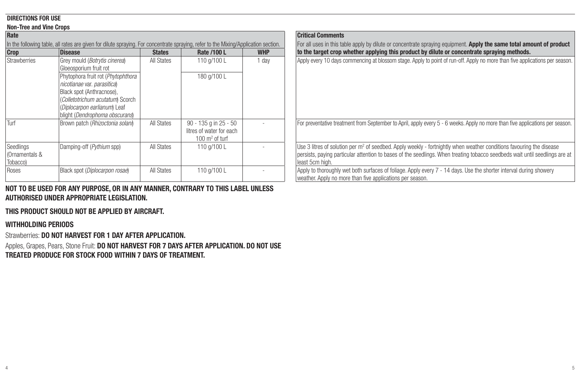#### **DIRECTIONS FOR USE**

#### **Non-Tree and Vine Crops**

| Rate                                                                                                                                |                                                                                                                                                                                                      |               |                                                                                |            |  |  |  |
|-------------------------------------------------------------------------------------------------------------------------------------|------------------------------------------------------------------------------------------------------------------------------------------------------------------------------------------------------|---------------|--------------------------------------------------------------------------------|------------|--|--|--|
| In the following table, all rates are given for dilute spraying. For concentrate spraying, refer to the Mixing/Application section. |                                                                                                                                                                                                      |               |                                                                                |            |  |  |  |
| Crop                                                                                                                                | <b>Disease</b>                                                                                                                                                                                       | <b>States</b> | Rate /100 L                                                                    | <b>WHP</b> |  |  |  |
| Strawberries                                                                                                                        | Grey mould (Botrytis cinerea)<br>Gloeosporium fruit rot                                                                                                                                              | All States    | 110 g/100 L                                                                    | 1 day      |  |  |  |
|                                                                                                                                     | Phytophora fruit rot (Phytophthora<br>nicotianae var. parasitica)<br>Black spot (Anthracnose),<br>(Colletotrichum acutatum) Scorch<br>(Diplocarpon earlianum) Leaf<br>blight (Dendrophoma obscurans) |               | 180 g/100 L                                                                    |            |  |  |  |
| Turf                                                                                                                                | Brown patch (Rhizoctonia solani)                                                                                                                                                                     | All States    | 90 - 135 g in 25 - 50<br>litres of water for each<br>$100 \text{ m}^2$ of turf |            |  |  |  |
| Seedlings<br>(Ornamentals &<br>Tobacco)                                                                                             | Damping-off (Pythium spp)                                                                                                                                                                            | All States    | 110 g/100 L                                                                    |            |  |  |  |
| Roses                                                                                                                               | Black spot (Diplocarpon rosae)                                                                                                                                                                       | All States    | 110 g/100 L                                                                    |            |  |  |  |

**NOT TO BE USED FOR ANY PURPOSE, OR IN ANY MANNER, CONTRARY TO THIS LABEL UNLESS AUTHORISED UNDER APPROPRIATE LEGISLATION.**

#### **THIS PRODUCT SHOULD NOT BE APPLIED BY AIRCRAFT.**

#### **WITHHOLDING PERIODS**

Strawberries: **DO NOT HARVEST FOR 1 DAY AFTER APPLICATION.**

Apples, Grapes, Pears, Stone Fruit: **DO NOT HARVEST FOR 7 DAYS AFTER APPLICATION. DO NOT USE TREATED PRODUCE FOR STOCK FOOD WITHIN 7 DAYS OF TREATMENT.**

## **Critical Comments** For all uses in this table apply by dilute or concentrate spraying equipment. **Apply the same total amount of product Crop Disease States Rate /100 L WHP to the target crop whether applying this product by dilute or concentrate spraying methods.** Apply every 10 days commencing at blossom stage. Apply to point of run-off. Apply no more than five applications per season. - For preventative treatment from September to April, apply every 5 - 6 weeks. Apply no more than five applications per season. Damping-off (*Pythium* spp) | All States | 110 g/100 L | - | Use 3 litres of solution per m<sup>2</sup> of seedbed. Apply weekly - fortnightly when weather conditions favouring the disease persists, paying particular attention to bases of the seedlings. When treating tobacco seedbeds wait until seedlings are at least 5cm high. Apply to thoroughly wet both surfaces of foliage. Apply every 7 - 14 days. Use the shorter interval during showery weather. Apply no more than five applications per season.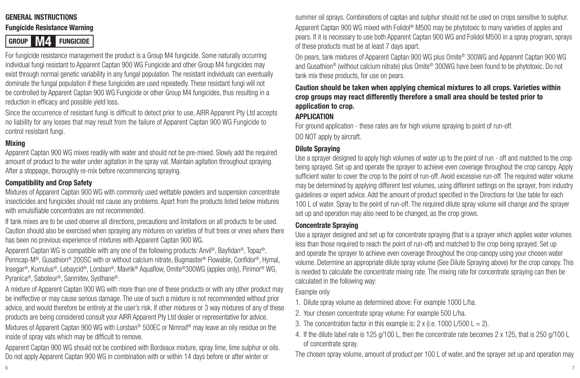#### **GENERAL INSTRUCTIONS**

#### **Fungicide Resistance Warning**



For fungicide resistance management the product is a Group M4 fungicide. Some naturally occurring individual fungi resistant to Apparent Captan 900 WG Fungicide and other Group M4 fungicides may exist through normal genetic variability in any fungal population. The resistant individuals can eventually dominate the fungal population if these fungicides are used repeatedly. These resistant fungi will not be controlled by Apparent Captan 900 WG Fungicide or other Group M4 fungicides, thus resulting in a reduction in efficacy and possible yield loss.

Since the occurrence of resistant fungi is difficult to detect prior to use, AIRR Apparent Pty Ltd accepts no liability for any losses that may result from the failure of Apparent Captan 900 WG Fungicide to control resistant fungi.

#### **Mixing**

Apparent Captan 900 WG mixes readily with water and should not be pre-mixed. Slowly add the required amount of product to the water under agitation in the spray vat. Maintain agitation throughout spraying. After a stoppage, thoroughly re-mix before recommencing spraying.

#### **Compatibility and Crop Safety**

Mixtures of Apparent Captan 900 WG with commonly used wettable powders and suspension concentrate insecticides and fungicides should not cause any problems. Apart from the products listed below mixtures with emulsifiable concentrates are not recommended.

If tank mixes are to be used observe all directions, precautions and limitations on all products to be used. Caution should also be exercised when spraying any mixtures on varieties of fruit trees or vines where there has been no previous experience of mixtures with Apparent Captan 900 WG.

Apparent Captan WG is compatible with any one of the following products: Anvil®, Bayfidan®, Topaz®, Penncap-M®, Gusathion® 200SC with or without calcium nitrate, Bugmaster® Flowable, Confidor®, Hymal, Insegar®, Kumulus®, Lebaycid®, Lorsban®, Mavrik® Aquaflow, Omite®300WG (apples only), Pirimor® WG, Pyranica®, Saboteur®, Sanmitev, Systhane®.

A mixture of Apparent Captan 900 WG with more than one of these products or with any other product may be ineffective or may cause serious damage. The use of such a mixture is not recommended without prior advice, and would therefore be entirely at the user's risk. If other mixtures or 3 way mixtures of any of these products are being considered consult your AIRR Apparent Pty Ltd dealer or representative for advice. Mixtures of Apparent Captan 900 WG with Lorsban® 500EC or Nimrod® may leave an oily residue on the inside of spray vats which may be difficult to remove.

Apparent Captan 900 WG should not be combined with Bordeaux mixture, spray lime, lime sulphur or oils. Do not apply Apparent Captan 900 WG in combination with or within 14 days before or after winter or

summer oil sprays. Combinations of captan and sulphur should not be used on crops sensitive to sulphur. Apparent Captan 900 WG mixed with Folidol® M500 may be phytotoxic to many varieties of apples and pears. If it is necessary to use both Apparent Captan 900 WG and Folidol M500 in a spray program, sprays of these products must be at least 7 days apart.

On pears, tank mixtures of Apparent Captan 900 WG plus Omite® 300WG and Apparent Captan 900 WG and Gusathion® (without calcium nitrate) plus Omite® 300WG have been found to be phytotoxic. Do not tank mix these products, for use on pears.

#### **Caution should be taken when applying chemical mixtures to all crops. Varieties within crop groups may react differently therefore a small area should be tested prior to application to crop.**

#### **APPLICATION**

For ground application - these rates are for high volume spraying to point of run-off. DO NOT apply by aircraft.

#### **Dilute Spraying**

Use a sprayer designed to apply high volumes of water up to the point of run - off and matched to the crop being sprayed. Set up and operate the sprayer to achieve even coverage throughout the crop canopy. Apply sufficient water to cover the crop to the point of run-off. Avoid excessive run-off. The required water volume may be determined by applying different test volumes, using different settings on the sprayer, from industry guidelines or expert advice. Add the amount of product specified in the Directions for Use table for each 100 L of water. Spray to the point of run-off. The required dilute spray volume will change and the sprayer set up and operation may also need to be changed, as the crop grows.

#### **Concentrate Spraying**

Use a sprayer designed and set up for concentrate spraying (that is a sprayer which applies water volumes less than those required to reach the point of run-off) and matched to the crop being sprayed. Set up and operate the sprayer to achieve even coverage throughout the crop canopy using your chosen water volume. Determine an appropriate dilute spray volume (See Dilute Spraying above) for the crop canopy. This is needed to calculate the concentrate mixing rate. The mixing rate for concentrate spraying can then be calculated in the following way:

#### Example only

- 1. Dilute spray volume as determined above: For example 1000 L/ha.
- 2. Your chosen concentrate spray volume: For example 500 L/ha.
- 3. The concentration factor in this example is:  $2 \times 1000$  L/500 L = 2).
- 4. If the dilute label rate is 125 g/100 L, then the concentrate rate becomes 2 x 125, that is 250 g/100 L of concentrate spray.

The chosen spray volume, amount of product per 100 L of water, and the sprayer set up and operation may